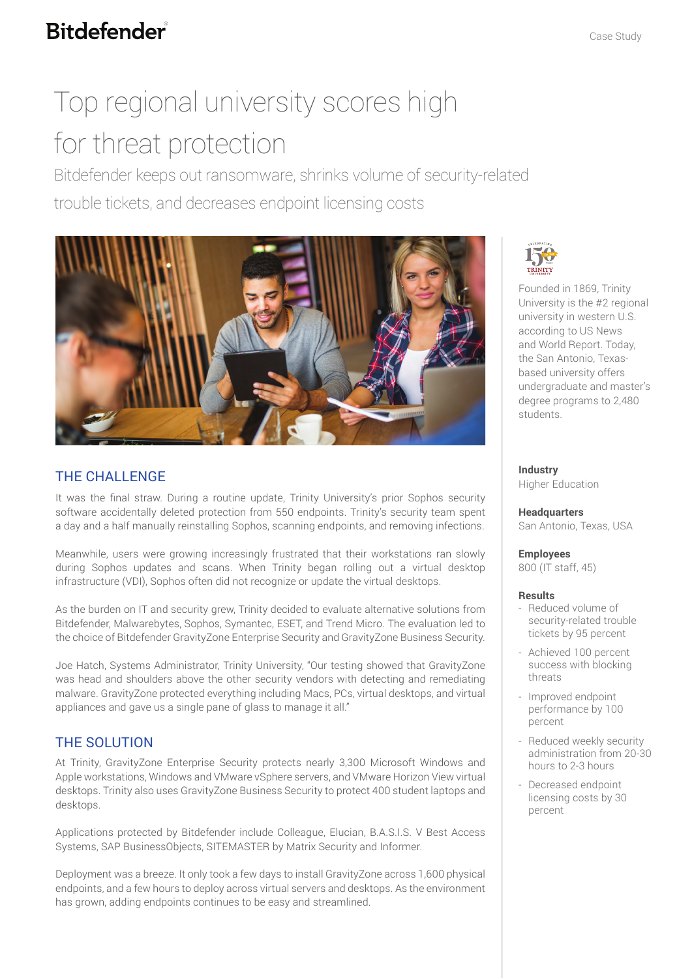## **Bitdefender**

# Top regional university scores high for threat protection

Bitdefender keeps out ransomware, shrinks volume of security-related trouble tickets, and decreases endpoint licensing costs



### THE CHALLENGE

It was the final straw. During a routine update, Trinity University's prior Sophos security software accidentally deleted protection from 550 endpoints. Trinity's security team spent a day and a half manually reinstalling Sophos, scanning endpoints, and removing infections.

Meanwhile, users were growing increasingly frustrated that their workstations ran slowly during Sophos updates and scans. When Trinity began rolling out a virtual desktop infrastructure (VDI), Sophos often did not recognize or update the virtual desktops.

As the burden on IT and security grew, Trinity decided to evaluate alternative solutions from Bitdefender, Malwarebytes, Sophos, Symantec, ESET, and Trend Micro. The evaluation led to the choice of Bitdefender GravityZone Enterprise Security and GravityZone Business Security.

Joe Hatch, Systems Administrator, Trinity University, "Our testing showed that GravityZone was head and shoulders above the other security vendors with detecting and remediating malware. GravityZone protected everything including Macs, PCs, virtual desktops, and virtual appliances and gave us a single pane of glass to manage it all."

### THE SOLUTION

At Trinity, GravityZone Enterprise Security protects nearly 3,300 Microsoft Windows and Apple workstations, Windows and VMware vSphere servers, and VMware Horizon View virtual desktops. Trinity also uses GravityZone Business Security to protect 400 student laptops and desktops.

Applications protected by Bitdefender include Colleague, Elucian, B.A.S.I.S. V Best Access Systems, SAP BusinessObjects, SITEMASTER by Matrix Security and Informer.

Deployment was a breeze. It only took a few days to install GravityZone across 1,600 physical endpoints, and a few hours to deploy across virtual servers and desktops. As the environment has grown, adding endpoints continues to be easy and streamlined.



Founded in 1869, Trinity University is the #2 regional university in western U.S. according to US News and World Report. Today, the San Antonio, Texasbased university offers undergraduate and master's degree programs to 2,480 students.

**Industry** Higher Education

**Headquarters** San Antonio, Texas, USA

**Employees**  800 (IT staff, 45)

### **Results**

- Reduced volume of security-related trouble tickets by 95 percent
- Achieved 100 percent success with blocking threats
- Improved endpoint performance by 100 percent
- Reduced weekly security administration from 20-30 hours to 2-3 hours
- Decreased endpoint licensing costs by 30 percent